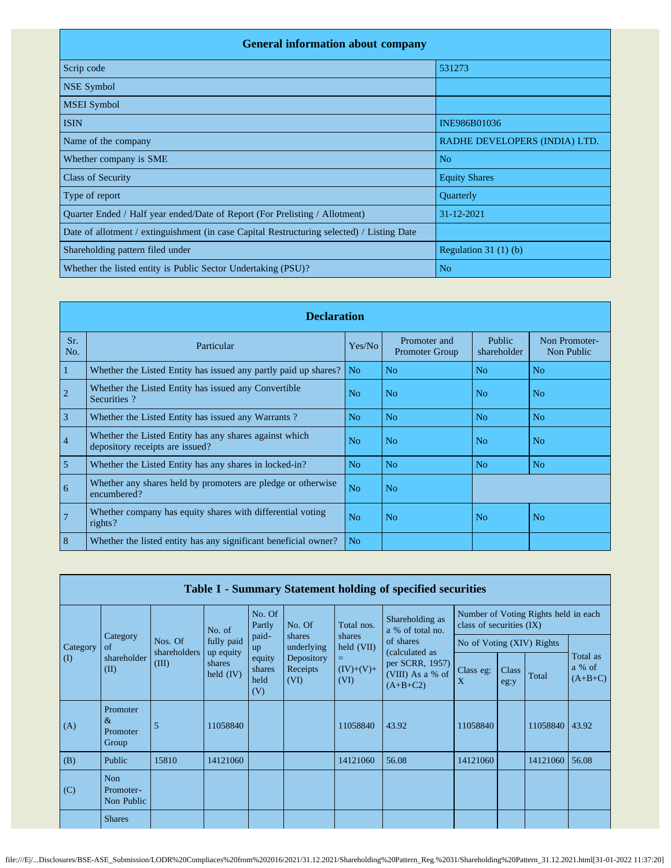| <b>General information about company</b>                                                   |                               |  |  |  |  |  |  |  |  |
|--------------------------------------------------------------------------------------------|-------------------------------|--|--|--|--|--|--|--|--|
| Scrip code                                                                                 | 531273                        |  |  |  |  |  |  |  |  |
| <b>NSE Symbol</b>                                                                          |                               |  |  |  |  |  |  |  |  |
| <b>MSEI</b> Symbol                                                                         |                               |  |  |  |  |  |  |  |  |
| <b>ISIN</b>                                                                                | INE986B01036                  |  |  |  |  |  |  |  |  |
| Name of the company                                                                        | RADHE DEVELOPERS (INDIA) LTD. |  |  |  |  |  |  |  |  |
| Whether company is SME                                                                     | N <sub>o</sub>                |  |  |  |  |  |  |  |  |
| <b>Class of Security</b>                                                                   | <b>Equity Shares</b>          |  |  |  |  |  |  |  |  |
| Type of report                                                                             | Quarterly                     |  |  |  |  |  |  |  |  |
| Quarter Ended / Half year ended/Date of Report (For Prelisting / Allotment)                | 31-12-2021                    |  |  |  |  |  |  |  |  |
| Date of allotment / extinguishment (in case Capital Restructuring selected) / Listing Date |                               |  |  |  |  |  |  |  |  |
| Shareholding pattern filed under                                                           | Regulation $31(1)(b)$         |  |  |  |  |  |  |  |  |
| Whether the listed entity is Public Sector Undertaking (PSU)?                              | N <sub>o</sub>                |  |  |  |  |  |  |  |  |

|                | <b>Declaration</b>                                                                        |                |                                       |                       |                             |  |  |  |  |  |  |  |
|----------------|-------------------------------------------------------------------------------------------|----------------|---------------------------------------|-----------------------|-----------------------------|--|--|--|--|--|--|--|
| Sr.<br>No.     | Particular                                                                                | Yes/No         | Promoter and<br><b>Promoter Group</b> | Public<br>shareholder | Non Promoter-<br>Non Public |  |  |  |  |  |  |  |
| 1              | Whether the Listed Entity has issued any partly paid up shares?                           | N <sub>o</sub> | N <sub>0</sub>                        | N <sub>o</sub>        | N <sub>o</sub>              |  |  |  |  |  |  |  |
| $\overline{c}$ | Whether the Listed Entity has issued any Convertible<br>Securities?                       | N <sub>o</sub> | N <sub>o</sub>                        | N <sub>o</sub>        | N <sub>o</sub>              |  |  |  |  |  |  |  |
| $\overline{3}$ | Whether the Listed Entity has issued any Warrants?                                        | N <sub>o</sub> | N <sub>o</sub>                        | N <sub>o</sub>        | N <sub>o</sub>              |  |  |  |  |  |  |  |
| $\overline{4}$ | Whether the Listed Entity has any shares against which<br>depository receipts are issued? | N <sub>o</sub> | N <sub>o</sub>                        | N <sub>o</sub>        | N <sub>o</sub>              |  |  |  |  |  |  |  |
| 5              | Whether the Listed Entity has any shares in locked-in?                                    | N <sub>o</sub> | N <sub>o</sub>                        | N <sub>o</sub>        | N <sub>o</sub>              |  |  |  |  |  |  |  |
| 6              | Whether any shares held by promoters are pledge or otherwise<br>encumbered?               | N <sub>o</sub> | N <sub>o</sub>                        |                       |                             |  |  |  |  |  |  |  |
| $\overline{7}$ | Whether company has equity shares with differential voting<br>$rights$ ?                  | N <sub>0</sub> | N <sub>0</sub>                        | N <sub>o</sub>        | N <sub>o</sub>              |  |  |  |  |  |  |  |
| 8              | Whether the listed entity has any significant beneficial owner?                           | N <sub>o</sub> |                                       |                       |                             |  |  |  |  |  |  |  |

|          | Table I - Summary Statement holding of specified securities |                       |                                    |                                 |                                |                                                   |                                                                                  |                                                                  |               |                |                                 |  |  |  |
|----------|-------------------------------------------------------------|-----------------------|------------------------------------|---------------------------------|--------------------------------|---------------------------------------------------|----------------------------------------------------------------------------------|------------------------------------------------------------------|---------------|----------------|---------------------------------|--|--|--|
|          |                                                             |                       | No. of                             | No. Of<br>Partly                | No. Of                         | Shareholding as<br>Total nos.<br>a % of total no. |                                                                                  | Number of Voting Rights held in each<br>class of securities (IX) |               |                |                                 |  |  |  |
| Category | Category<br>of                                              | Nos. Of               | fully paid                         | paid-<br>up                     | shares<br>underlying           | shares<br>held (VII)                              | of shares<br>(calculated as<br>per SCRR, 1957)<br>(VIII) As a % of<br>$(A+B+C2)$ | No of Voting (XIV) Rights                                        |               |                |                                 |  |  |  |
| (I)      | shareholder<br>(II)                                         | shareholders<br>(III) | up equity<br>shares<br>held $(IV)$ | equity<br>shares<br>held<br>(V) | Depository<br>Receipts<br>(VI) | $=$<br>$(IV)+(V)+$<br>(VI)                        |                                                                                  | Class eg:<br>X                                                   | Class<br>eg:y | Total          | Total as<br>a % of<br>$(A+B+C)$ |  |  |  |
| (A)      | Promoter<br>$\&$<br>Promoter<br>Group                       | 5                     | 11058840                           |                                 |                                | 11058840                                          | 43.92                                                                            | 11058840                                                         |               | 11058840 43.92 |                                 |  |  |  |
| (B)      | Public                                                      | 15810                 | 14121060                           |                                 |                                | 14121060                                          | 56.08                                                                            | 14121060                                                         |               | 14121060       | 56.08                           |  |  |  |
| (C)      | <b>Non</b><br>Promoter-<br>Non Public                       |                       |                                    |                                 |                                |                                                   |                                                                                  |                                                                  |               |                |                                 |  |  |  |
|          | <b>Shares</b>                                               |                       |                                    |                                 |                                |                                                   |                                                                                  |                                                                  |               |                |                                 |  |  |  |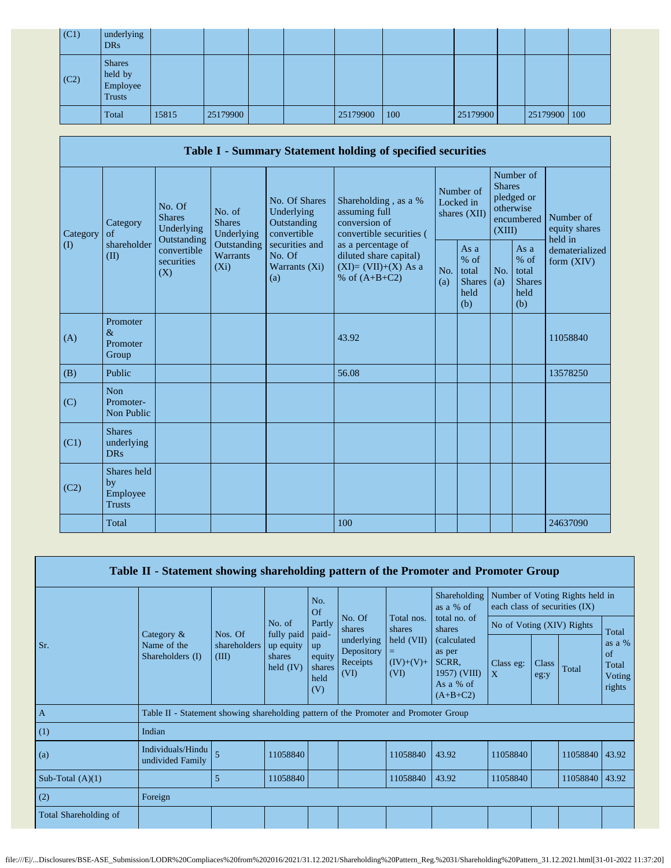| (C1)         | underlying<br><b>DRs</b>                              |       |          |  |          |     |          |              |  |
|--------------|-------------------------------------------------------|-------|----------|--|----------|-----|----------|--------------|--|
| $\vert$ (C2) | <b>Shares</b><br>held by<br>Employee<br><b>Trusts</b> |       |          |  |          |     |          |              |  |
|              | Total                                                 | 15815 | 25179900 |  | 25179900 | 100 | 25179900 | 25179900 100 |  |

|          |                                                |                                                                                          |                                                                             |                                                           | Table I - Summary Statement holding of specified securities                              |                                        |                                                                               |            |                                                       |                                |
|----------|------------------------------------------------|------------------------------------------------------------------------------------------|-----------------------------------------------------------------------------|-----------------------------------------------------------|------------------------------------------------------------------------------------------|----------------------------------------|-------------------------------------------------------------------------------|------------|-------------------------------------------------------|--------------------------------|
| Category | Category<br>of<br>shareholder<br>(II)          | No. Of<br><b>Shares</b><br>Underlying<br>Outstanding<br>convertible<br>securities<br>(X) | No. of<br><b>Shares</b><br>Underlying<br>Outstanding<br>Warrants<br>$(X_i)$ | No. Of Shares<br>Underlying<br>Outstanding<br>convertible | Shareholding, as a %<br>assuming full<br>conversion of<br>convertible securities (       | Number of<br>Locked in<br>shares (XII) | Number of<br><b>Shares</b><br>pledged or<br>otherwise<br>encumbered<br>(XIII) |            | Number of<br>equity shares<br>held in                 |                                |
| $\rm(D)$ |                                                |                                                                                          |                                                                             | securities and<br>No. Of<br>Warrants (Xi)<br>(a)          | as a percentage of<br>diluted share capital)<br>$(XI)=(VII)+(X) As a$<br>% of $(A+B+C2)$ | No.<br>(a)                             | As a<br>$%$ of<br>total<br><b>Shares</b><br>held<br>(b)                       | No.<br>(a) | As a<br>% of<br>total<br><b>Shares</b><br>held<br>(b) | dematerialized<br>form $(XIV)$ |
| (A)      | Promoter<br>$\&$<br>Promoter<br>Group          |                                                                                          |                                                                             |                                                           | 43.92                                                                                    |                                        |                                                                               |            |                                                       | 11058840                       |
| (B)      | Public                                         |                                                                                          |                                                                             |                                                           | 56.08                                                                                    |                                        |                                                                               |            |                                                       | 13578250                       |
| (C)      | Non<br>Promoter-<br>Non Public                 |                                                                                          |                                                                             |                                                           |                                                                                          |                                        |                                                                               |            |                                                       |                                |
| (C1)     | <b>Shares</b><br>underlying<br><b>DRs</b>      |                                                                                          |                                                                             |                                                           |                                                                                          |                                        |                                                                               |            |                                                       |                                |
| (C2)     | Shares held<br>by<br>Employee<br><b>Trusts</b> |                                                                                          |                                                                             |                                                           |                                                                                          |                                        |                                                                               |            |                                                       |                                |
|          | Total                                          |                                                                                          |                                                                             |                                                           | 100                                                                                      |                                        |                                                                               |            |                                                       | 24637090                       |

| Table II - Statement showing shareholding pattern of the Promoter and Promoter Group |                                                                                      |                       |                                                            |                                                          |                                              |                                          |                                                                            |                           |               |          |                                                   |
|--------------------------------------------------------------------------------------|--------------------------------------------------------------------------------------|-----------------------|------------------------------------------------------------|----------------------------------------------------------|----------------------------------------------|------------------------------------------|----------------------------------------------------------------------------|---------------------------|---------------|----------|---------------------------------------------------|
|                                                                                      |                                                                                      |                       | No. of<br>fully paid<br>up equity<br>shares<br>held $(IV)$ | No.<br>Of                                                | Shareholding<br>as a % of                    |                                          | Number of Voting Rights held in<br>each class of securities (IX)           |                           |               |          |                                                   |
|                                                                                      |                                                                                      | Nos. Of               |                                                            | Partly<br>paid-<br>up<br>equity<br>shares<br>held<br>(V) | No. Of<br>shares                             | Total nos.<br>shares                     | total no. of<br>shares                                                     | No of Voting (XIV) Rights |               |          | Total                                             |
| Sr.                                                                                  | Category $\&$<br>Name of the<br>Shareholders (I)                                     | shareholders<br>(III) |                                                            |                                                          | underlying<br>Depository<br>Receipts<br>(VI) | held (VII)<br>$=$<br>$(IV)+(V)+$<br>(VI) | (calculated)<br>as per<br>SCRR.<br>1957) (VIII)<br>As a % of<br>$(A+B+C2)$ | Class eg:<br>$\mathbf{X}$ | Class<br>eg:y | Total    | as a $%$<br>$\sigma$<br>Total<br>Voting<br>rights |
| $\overline{A}$                                                                       | Table II - Statement showing shareholding pattern of the Promoter and Promoter Group |                       |                                                            |                                                          |                                              |                                          |                                                                            |                           |               |          |                                                   |
| (1)                                                                                  | Indian                                                                               |                       |                                                            |                                                          |                                              |                                          |                                                                            |                           |               |          |                                                   |
| (a)                                                                                  | Individuals/Hindu<br>undivided Family                                                | 5                     | 11058840                                                   |                                                          |                                              | 11058840                                 | 43.92                                                                      | 11058840                  |               | 11058840 | 43.92                                             |
| Sub-Total $(A)(1)$                                                                   |                                                                                      | 5                     | 11058840                                                   |                                                          |                                              | 11058840                                 | 43.92                                                                      | 11058840                  |               | 11058840 | 43.92                                             |
| (2)                                                                                  | Foreign                                                                              |                       |                                                            |                                                          |                                              |                                          |                                                                            |                           |               |          |                                                   |
| Total Shareholding of                                                                |                                                                                      |                       |                                                            |                                                          |                                              |                                          |                                                                            |                           |               |          |                                                   |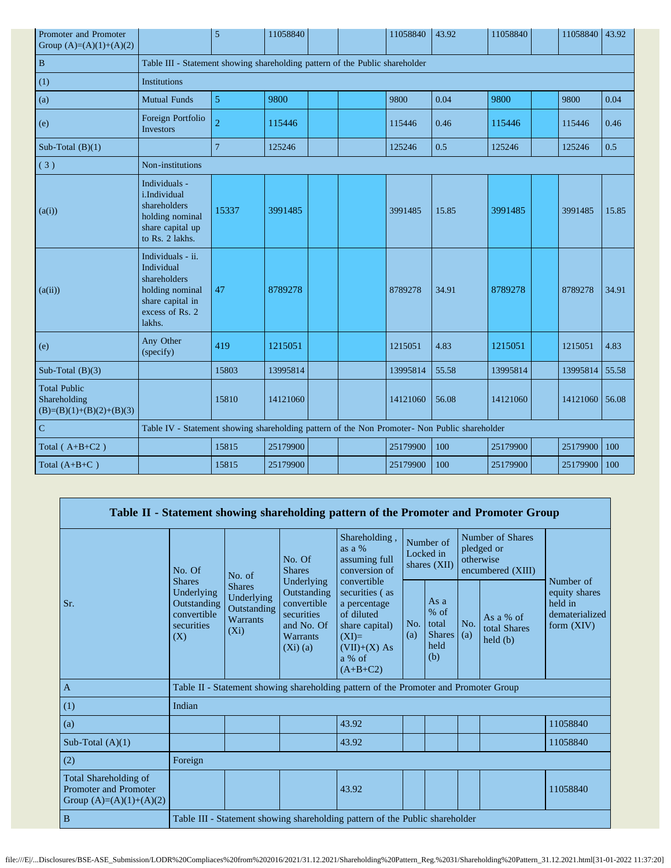| Promoter and Promoter<br>Group $(A)=(A)(1)+(A)(2)$                |                                                                                                                     | 5                                                                                             | 11058840 |  |  | 11058840 | 43.92 | 11058840 |  | 11058840 43.92 |       |
|-------------------------------------------------------------------|---------------------------------------------------------------------------------------------------------------------|-----------------------------------------------------------------------------------------------|----------|--|--|----------|-------|----------|--|----------------|-------|
| $\, {\bf B}$                                                      | Table III - Statement showing shareholding pattern of the Public shareholder                                        |                                                                                               |          |  |  |          |       |          |  |                |       |
| (1)                                                               | Institutions                                                                                                        |                                                                                               |          |  |  |          |       |          |  |                |       |
| (a)                                                               | <b>Mutual Funds</b>                                                                                                 | 5                                                                                             | 9800     |  |  | 9800     | 0.04  | 9800     |  | 9800           | 0.04  |
| (e)                                                               | Foreign Portfolio<br><b>Investors</b>                                                                               | $\overline{c}$                                                                                | 115446   |  |  | 115446   | 0.46  | 115446   |  | 115446         | 0.46  |
| Sub-Total $(B)(1)$                                                |                                                                                                                     | $\overline{7}$                                                                                | 125246   |  |  | 125246   | 0.5   | 125246   |  | 125246         | 0.5   |
| (3)                                                               | Non-institutions                                                                                                    |                                                                                               |          |  |  |          |       |          |  |                |       |
| (a(i))                                                            | Individuals -<br>i.Individual<br>shareholders<br>holding nominal<br>share capital up<br>to Rs. 2 lakhs.             | 15337                                                                                         | 3991485  |  |  | 3991485  | 15.85 | 3991485  |  | 3991485        | 15.85 |
| (a(ii))                                                           | Individuals - ii.<br>Individual<br>shareholders<br>holding nominal<br>share capital in<br>excess of Rs. 2<br>lakhs. | 47                                                                                            | 8789278  |  |  | 8789278  | 34.91 | 8789278  |  | 8789278        | 34.91 |
| (e)                                                               | Any Other<br>(specify)                                                                                              | 419                                                                                           | 1215051  |  |  | 1215051  | 4.83  | 1215051  |  | 1215051        | 4.83  |
| Sub-Total $(B)(3)$                                                |                                                                                                                     | 15803                                                                                         | 13995814 |  |  | 13995814 | 55.58 | 13995814 |  | 13995814       | 55.58 |
| <b>Total Public</b><br>Shareholding<br>$(B)=(B)(1)+(B)(2)+(B)(3)$ |                                                                                                                     | 15810                                                                                         | 14121060 |  |  | 14121060 | 56.08 | 14121060 |  | 14121060       | 56.08 |
| $\mathbf C$                                                       |                                                                                                                     | Table IV - Statement showing shareholding pattern of the Non Promoter- Non Public shareholder |          |  |  |          |       |          |  |                |       |
| Total $(A+B+C2)$                                                  |                                                                                                                     | 15815                                                                                         | 25179900 |  |  | 25179900 | 100   | 25179900 |  | 25179900       | 100   |
| Total $(A+B+C)$                                                   |                                                                                                                     | 15815                                                                                         | 25179900 |  |  | 25179900 | 100   | 25179900 |  | 25179900       | 100   |

|                                                                                    |                                                                                                                                                            |        |                                                                                                       | Table II - Statement showing shareholding pattern of the Promoter and Promoter Group                                               |                                        |                                                         |            |                                                                  |                                                                         |
|------------------------------------------------------------------------------------|------------------------------------------------------------------------------------------------------------------------------------------------------------|--------|-------------------------------------------------------------------------------------------------------|------------------------------------------------------------------------------------------------------------------------------------|----------------------------------------|---------------------------------------------------------|------------|------------------------------------------------------------------|-------------------------------------------------------------------------|
|                                                                                    | No. Of                                                                                                                                                     | No. of | No. Of<br><b>Shares</b>                                                                               | Shareholding,<br>as a %<br>assuming full<br>conversion of                                                                          | Number of<br>Locked in<br>shares (XII) |                                                         |            | Number of Shares<br>pledged or<br>otherwise<br>encumbered (XIII) |                                                                         |
| Sr.                                                                                | <b>Shares</b><br><b>Shares</b><br>Underlying<br>Underlying<br>Outstanding<br>Outstanding<br>convertible<br><b>Warrants</b><br>securities<br>$(X_i)$<br>(X) |        | Underlying<br>Outstanding<br>convertible<br>securities<br>and No. Of<br><b>Warrants</b><br>$(Xi)$ (a) | convertible<br>securities (as<br>a percentage<br>of diluted<br>share capital)<br>$(XI)=$<br>$(VII)+(X)$ As<br>a % of<br>$(A+B+C2)$ | No.<br>(a)                             | As a<br>$%$ of<br>total<br><b>Shares</b><br>held<br>(b) | No.<br>(a) | As a % of<br>total Shares<br>$\text{held}(\text{b})$             | Number of<br>equity shares<br>held in<br>dematerialized<br>form $(XIV)$ |
| $\overline{A}$                                                                     |                                                                                                                                                            |        |                                                                                                       | Table II - Statement showing shareholding pattern of the Promoter and Promoter Group                                               |                                        |                                                         |            |                                                                  |                                                                         |
| (1)                                                                                | Indian                                                                                                                                                     |        |                                                                                                       |                                                                                                                                    |                                        |                                                         |            |                                                                  |                                                                         |
| (a)                                                                                |                                                                                                                                                            |        |                                                                                                       | 43.92                                                                                                                              |                                        |                                                         |            |                                                                  | 11058840                                                                |
| Sub-Total $(A)(1)$                                                                 |                                                                                                                                                            |        |                                                                                                       | 43.92                                                                                                                              |                                        |                                                         |            |                                                                  | 11058840                                                                |
| (2)                                                                                | Foreign                                                                                                                                                    |        |                                                                                                       |                                                                                                                                    |                                        |                                                         |            |                                                                  |                                                                         |
| Total Shareholding of<br><b>Promoter and Promoter</b><br>Group $(A)=(A)(1)+(A)(2)$ |                                                                                                                                                            |        |                                                                                                       | 43.92                                                                                                                              |                                        |                                                         |            |                                                                  | 11058840                                                                |
| $\mathbf B$                                                                        |                                                                                                                                                            |        |                                                                                                       | Table III - Statement showing shareholding pattern of the Public shareholder                                                       |                                        |                                                         |            |                                                                  |                                                                         |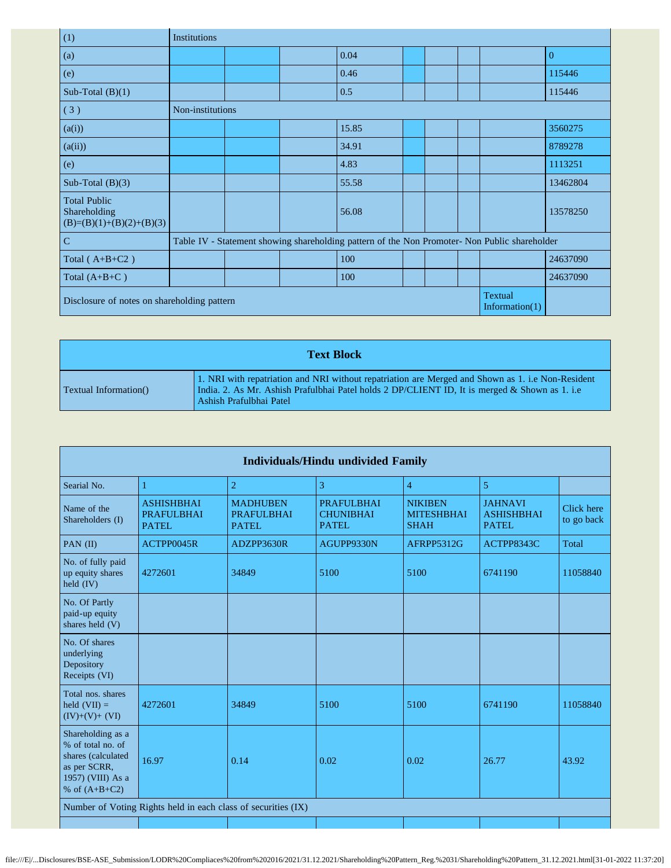| (1)                                                                             | Institutions     |  |  |                                                                                               |  |  |  |  |                |
|---------------------------------------------------------------------------------|------------------|--|--|-----------------------------------------------------------------------------------------------|--|--|--|--|----------------|
| (a)                                                                             |                  |  |  | 0.04                                                                                          |  |  |  |  | $\overline{0}$ |
| (e)                                                                             |                  |  |  | 0.46                                                                                          |  |  |  |  | 115446         |
| Sub-Total $(B)(1)$                                                              |                  |  |  | 0.5                                                                                           |  |  |  |  | 115446         |
| (3)                                                                             | Non-institutions |  |  |                                                                                               |  |  |  |  |                |
| (a(i))                                                                          |                  |  |  | 15.85                                                                                         |  |  |  |  | 3560275        |
| (a(ii))                                                                         |                  |  |  | 34.91                                                                                         |  |  |  |  | 8789278        |
| (e)                                                                             |                  |  |  | 4.83                                                                                          |  |  |  |  | 1113251        |
| Sub-Total $(B)(3)$                                                              |                  |  |  | 55.58                                                                                         |  |  |  |  | 13462804       |
| <b>Total Public</b><br>Shareholding<br>$(B)=(B)(1)+(B)(2)+(B)(3)$               |                  |  |  | 56.08                                                                                         |  |  |  |  | 13578250       |
| $\mathcal{C}$                                                                   |                  |  |  | Table IV - Statement showing shareholding pattern of the Non Promoter- Non Public shareholder |  |  |  |  |                |
| Total $(A+B+C2)$                                                                |                  |  |  | 100                                                                                           |  |  |  |  | 24637090       |
| Total $(A+B+C)$                                                                 |                  |  |  | 100                                                                                           |  |  |  |  | 24637090       |
| <b>Textual</b><br>Disclosure of notes on shareholding pattern<br>Information(1) |                  |  |  |                                                                                               |  |  |  |  |                |

| <b>Text Block</b>             |                                                                                                                                                                                                                                |  |  |  |  |  |  |  |
|-------------------------------|--------------------------------------------------------------------------------------------------------------------------------------------------------------------------------------------------------------------------------|--|--|--|--|--|--|--|
| <b>Textual Information</b> () | 1. NRI with repatriation and NRI without repatriation are Merged and Shown as 1. i.e Non-Resident<br>India. 2. As Mr. Ashish Prafulbhai Patel holds 2 DP/CLIENT ID, It is merged & Shown as 1. i.e.<br>Ashish Prafulbhai Patel |  |  |  |  |  |  |  |

|                                                                                                                      | Individuals/Hindu undivided Family                            |                                                |                                                |                                                    |                                               |                          |  |  |  |  |  |  |  |
|----------------------------------------------------------------------------------------------------------------------|---------------------------------------------------------------|------------------------------------------------|------------------------------------------------|----------------------------------------------------|-----------------------------------------------|--------------------------|--|--|--|--|--|--|--|
| Searial No.                                                                                                          | 1                                                             | $\overline{2}$                                 | 3                                              | $\overline{4}$                                     | 5                                             |                          |  |  |  |  |  |  |  |
| Name of the<br>Shareholders (I)                                                                                      | <b>ASHISHBHAI</b><br><b>PRAFULBHAI</b><br><b>PATEL</b>        | <b>MADHUBEN</b><br><b>PRAFULBHAI</b><br>PATEL. | <b>PRAFULBHAI</b><br><b>CHUNIBHAI</b><br>PATEL | <b>NIKIBEN</b><br><b>MITESHBHAI</b><br><b>SHAH</b> | <b>JAHNAVI</b><br><b>ASHISHBHAI</b><br>PATEL. | Click here<br>to go back |  |  |  |  |  |  |  |
| PAN (II)                                                                                                             | ACTPP0045R                                                    | ADZPP3630R                                     | AGUPP9330N                                     | AFRPP5312G                                         | ACTPP8343C                                    | Total                    |  |  |  |  |  |  |  |
| No. of fully paid<br>up equity shares<br>held $(IV)$                                                                 | 4272601                                                       | 34849                                          | 5100                                           | 5100                                               | 6741190                                       | 11058840                 |  |  |  |  |  |  |  |
| No. Of Partly<br>paid-up equity<br>shares held (V)                                                                   |                                                               |                                                |                                                |                                                    |                                               |                          |  |  |  |  |  |  |  |
| No. Of shares<br>underlying<br>Depository<br>Receipts (VI)                                                           |                                                               |                                                |                                                |                                                    |                                               |                          |  |  |  |  |  |  |  |
| Total nos. shares<br>held $(VII) =$<br>$(IV)+(V)+(VI)$                                                               | 4272601                                                       | 34849                                          | 5100                                           | 5100                                               | 6741190                                       | 11058840                 |  |  |  |  |  |  |  |
| Shareholding as a<br>% of total no. of<br>shares (calculated<br>as per SCRR,<br>1957) (VIII) As a<br>% of $(A+B+C2)$ | 16.97                                                         | 0.14                                           | 0.02                                           | 0.02                                               | 26.77                                         | 43.92                    |  |  |  |  |  |  |  |
|                                                                                                                      | Number of Voting Rights held in each class of securities (IX) |                                                |                                                |                                                    |                                               |                          |  |  |  |  |  |  |  |
|                                                                                                                      |                                                               |                                                |                                                |                                                    |                                               |                          |  |  |  |  |  |  |  |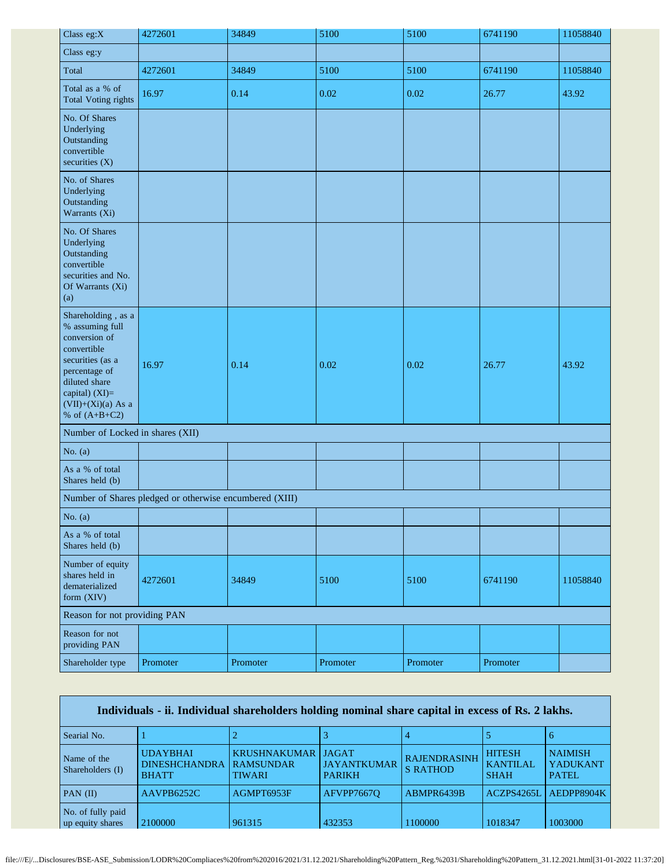| Class eg:X                                                                                                                                                                               | 4272601                                                 | 34849    | 5100     | 5100     | 6741190  | 11058840 |
|------------------------------------------------------------------------------------------------------------------------------------------------------------------------------------------|---------------------------------------------------------|----------|----------|----------|----------|----------|
| Class eg:y                                                                                                                                                                               |                                                         |          |          |          |          |          |
| Total                                                                                                                                                                                    | 4272601                                                 | 34849    | 5100     | 5100     | 6741190  | 11058840 |
| Total as a % of<br><b>Total Voting rights</b>                                                                                                                                            | 16.97                                                   | 0.14     | 0.02     | 0.02     | 26.77    | 43.92    |
| No. Of Shares<br>Underlying<br>Outstanding<br>convertible<br>securities $(X)$                                                                                                            |                                                         |          |          |          |          |          |
| No. of Shares<br>Underlying<br>Outstanding<br>Warrants (Xi)                                                                                                                              |                                                         |          |          |          |          |          |
| No. Of Shares<br>Underlying<br>Outstanding<br>convertible<br>securities and No.<br>Of Warrants (Xi)<br>(a)                                                                               |                                                         |          |          |          |          |          |
| Shareholding, as a<br>% assuming full<br>conversion of<br>convertible<br>securities (as a<br>percentage of<br>diluted share<br>capital) (XI)=<br>$(VII)+(Xi)(a)$ As a<br>% of $(A+B+C2)$ | 16.97                                                   | 0.14     | 0.02     | 0.02     | 26.77    | 43.92    |
| Number of Locked in shares (XII)                                                                                                                                                         |                                                         |          |          |          |          |          |
| No. $(a)$                                                                                                                                                                                |                                                         |          |          |          |          |          |
| As a % of total<br>Shares held (b)                                                                                                                                                       |                                                         |          |          |          |          |          |
|                                                                                                                                                                                          | Number of Shares pledged or otherwise encumbered (XIII) |          |          |          |          |          |
| No. $(a)$                                                                                                                                                                                |                                                         |          |          |          |          |          |
| As a % of total<br>Shares held (b)                                                                                                                                                       |                                                         |          |          |          |          |          |
| Number of equity<br>shares held in<br>dematerialized<br>form (XIV)                                                                                                                       | 4272601                                                 | 34849    | 5100     | 5100     | 6741190  | 11058840 |
| Reason for not providing PAN                                                                                                                                                             |                                                         |          |          |          |          |          |
| Reason for not<br>providing PAN                                                                                                                                                          |                                                         |          |          |          |          |          |
| Shareholder type                                                                                                                                                                         | Promoter                                                | Promoter | Promoter | Promoter | Promoter |          |

| Individuals - ii. Individual shareholders holding nominal share capital in excess of Rs. 2 lakhs. |                                                         |                                                          |                                                     |                                        |                                                 |                                             |
|---------------------------------------------------------------------------------------------------|---------------------------------------------------------|----------------------------------------------------------|-----------------------------------------------------|----------------------------------------|-------------------------------------------------|---------------------------------------------|
| Searial No.                                                                                       |                                                         |                                                          |                                                     |                                        |                                                 | b                                           |
| Name of the<br>Shareholders (I)                                                                   | <b>UDAYBHAI</b><br><b>DINESHCHANDRA</b><br><b>BHATT</b> | <b>KRUSHNAKUMAR</b><br><b>RAMSUNDAR</b><br><b>TIWARI</b> | <b>JAGAT</b><br><b>JAYANTKUMAR</b><br><b>PARIKH</b> | <b>RAJENDRASINH</b><br><b>S RATHOD</b> | <b>HITESH</b><br><b>KANTILAL</b><br><b>SHAH</b> | <b>NAIMISH</b><br><b>YADUKANT</b><br>PATEL. |
| PAN $(II)$                                                                                        | AAVPB6252C                                              | AGMPT6953F                                               | AFVPP76670                                          | ABMPR6439B                             | ACZPS4265L                                      | AEDPP8904K                                  |
| No. of fully paid<br>up equity shares                                                             | 2100000                                                 | 961315                                                   | 432353                                              | 1100000                                | 1018347                                         | 1003000                                     |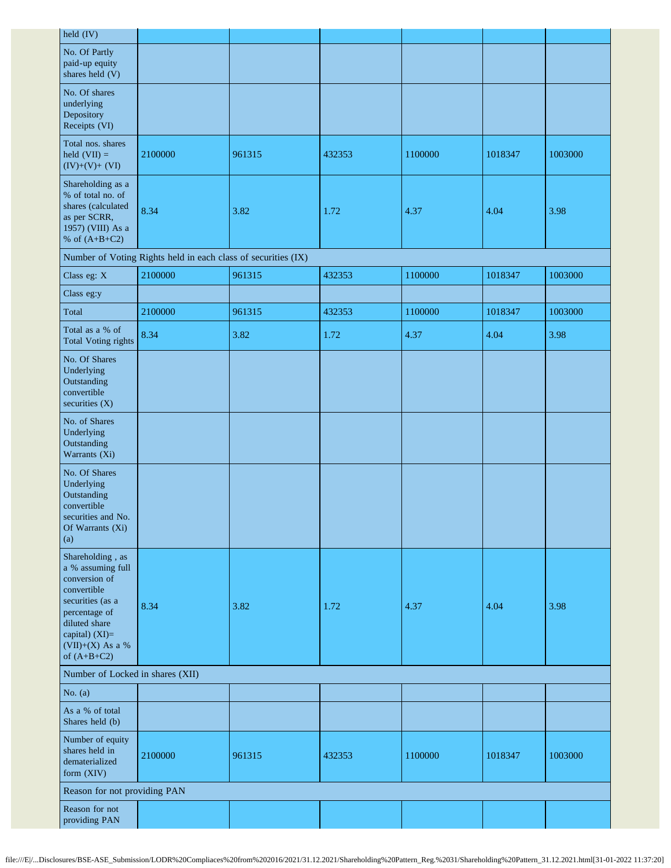| held (IV)                                                                                                                                                                            |                                                               |        |        |         |         |         |
|--------------------------------------------------------------------------------------------------------------------------------------------------------------------------------------|---------------------------------------------------------------|--------|--------|---------|---------|---------|
| No. Of Partly<br>paid-up equity<br>shares held (V)                                                                                                                                   |                                                               |        |        |         |         |         |
| No. Of shares<br>underlying<br>Depository<br>Receipts (VI)                                                                                                                           |                                                               |        |        |         |         |         |
| Total nos. shares<br>held $(VII) =$<br>$(IV)+(V)+(VI)$                                                                                                                               | 2100000                                                       | 961315 | 432353 | 1100000 | 1018347 | 1003000 |
| Shareholding as a<br>% of total no. of<br>shares (calculated<br>as per SCRR,<br>1957) (VIII) As a<br>% of $(A+B+C2)$                                                                 | 8.34                                                          | 3.82   | 1.72   | 4.37    | 4.04    | 3.98    |
|                                                                                                                                                                                      | Number of Voting Rights held in each class of securities (IX) |        |        |         |         |         |
| Class eg: X                                                                                                                                                                          | 2100000                                                       | 961315 | 432353 | 1100000 | 1018347 | 1003000 |
| Class eg:y                                                                                                                                                                           |                                                               |        |        |         |         |         |
| Total                                                                                                                                                                                | 2100000                                                       | 961315 | 432353 | 1100000 | 1018347 | 1003000 |
| Total as a % of<br><b>Total Voting rights</b>                                                                                                                                        | 8.34                                                          | 3.82   | 1.72   | 4.37    | 4.04    | 3.98    |
| No. Of Shares<br>Underlying<br>Outstanding<br>convertible<br>securities $(X)$                                                                                                        |                                                               |        |        |         |         |         |
| No. of Shares<br>Underlying<br>Outstanding<br>Warrants (Xi)                                                                                                                          |                                                               |        |        |         |         |         |
| No. Of Shares<br>Underlying<br>Outstanding<br>convertible<br>securities and No.<br>Of Warrants (Xi)<br>(a)                                                                           |                                                               |        |        |         |         |         |
| Shareholding, as<br>a % assuming full<br>conversion of<br>convertible<br>securities (as a<br>percentage of<br>diluted share<br>capital) $(XI)=$<br>(VII)+(X) As a %<br>of $(A+B+C2)$ | 8.34                                                          | 3.82   | 1.72   | 4.37    | 4.04    | 3.98    |
| Number of Locked in shares (XII)                                                                                                                                                     |                                                               |        |        |         |         |         |
| No. $(a)$                                                                                                                                                                            |                                                               |        |        |         |         |         |
| As a % of total<br>Shares held (b)                                                                                                                                                   |                                                               |        |        |         |         |         |
| Number of equity<br>shares held in<br>dematerialized<br>form (XIV)                                                                                                                   | 2100000                                                       | 961315 | 432353 | 1100000 | 1018347 | 1003000 |
| Reason for not providing PAN                                                                                                                                                         |                                                               |        |        |         |         |         |
| Reason for not<br>providing PAN                                                                                                                                                      |                                                               |        |        |         |         |         |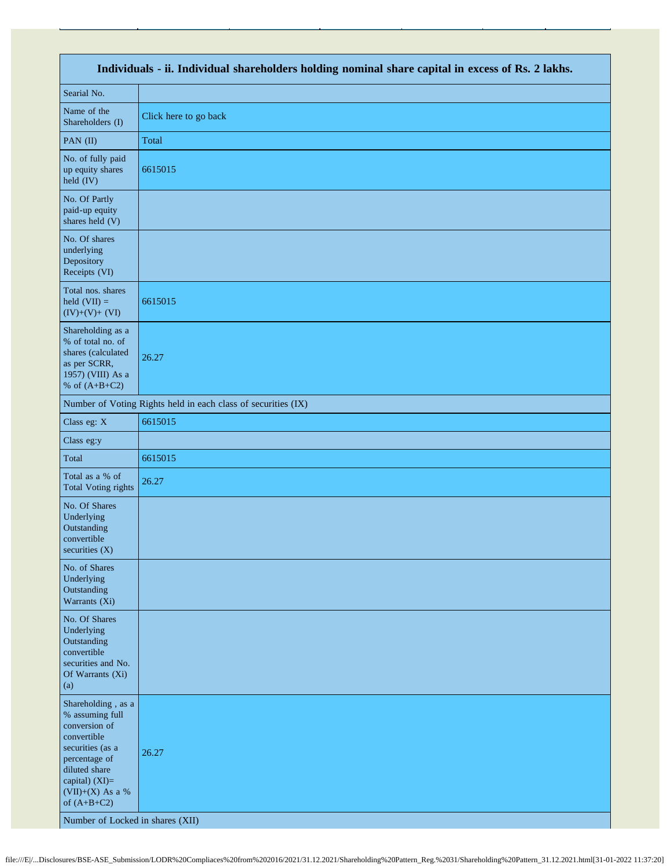| Individuals - ii. Individual shareholders holding nominal share capital in excess of Rs. 2 lakhs.                                                                                                                      |                                                               |  |  |  |
|------------------------------------------------------------------------------------------------------------------------------------------------------------------------------------------------------------------------|---------------------------------------------------------------|--|--|--|
| Searial No.                                                                                                                                                                                                            |                                                               |  |  |  |
| Name of the<br>Shareholders (I)                                                                                                                                                                                        | Click here to go back                                         |  |  |  |
| PAN (II)                                                                                                                                                                                                               | Total                                                         |  |  |  |
| No. of fully paid<br>up equity shares<br>held (IV)                                                                                                                                                                     | 6615015                                                       |  |  |  |
| No. Of Partly<br>paid-up equity<br>shares held (V)                                                                                                                                                                     |                                                               |  |  |  |
| No. Of shares<br>underlying<br>Depository<br>Receipts (VI)                                                                                                                                                             |                                                               |  |  |  |
| Total nos. shares<br>held $(VII) =$<br>$(IV)+(V)+(VI)$                                                                                                                                                                 | 6615015                                                       |  |  |  |
| Shareholding as a<br>% of total no. of<br>shares (calculated<br>as per SCRR,<br>1957) (VIII) As a<br>% of $(A+B+C2)$                                                                                                   | 26.27                                                         |  |  |  |
|                                                                                                                                                                                                                        | Number of Voting Rights held in each class of securities (IX) |  |  |  |
| Class eg: X                                                                                                                                                                                                            | 6615015                                                       |  |  |  |
| Class eg:y                                                                                                                                                                                                             |                                                               |  |  |  |
| Total                                                                                                                                                                                                                  | 6615015                                                       |  |  |  |
| Total as a % of<br><b>Total Voting rights</b>                                                                                                                                                                          | 26.27                                                         |  |  |  |
| No. Of Shares<br>Underlying<br>Outstanding<br>convertible<br>securities (X)                                                                                                                                            |                                                               |  |  |  |
| No. of Shares<br>Underlying<br>Outstanding<br>Warrants (Xi)                                                                                                                                                            |                                                               |  |  |  |
| No. Of Shares<br>Underlying<br>Outstanding<br>convertible<br>securities and No.<br>Of Warrants (Xi)<br>(a)                                                                                                             |                                                               |  |  |  |
| Shareholding, as a<br>% assuming full<br>conversion of<br>convertible<br>securities (as a<br>percentage of<br>diluted share<br>capital) (XI)=<br>(VII)+(X) As a %<br>of $(A+B+C2)$<br>Number of Locked in shares (XII) | 26.27                                                         |  |  |  |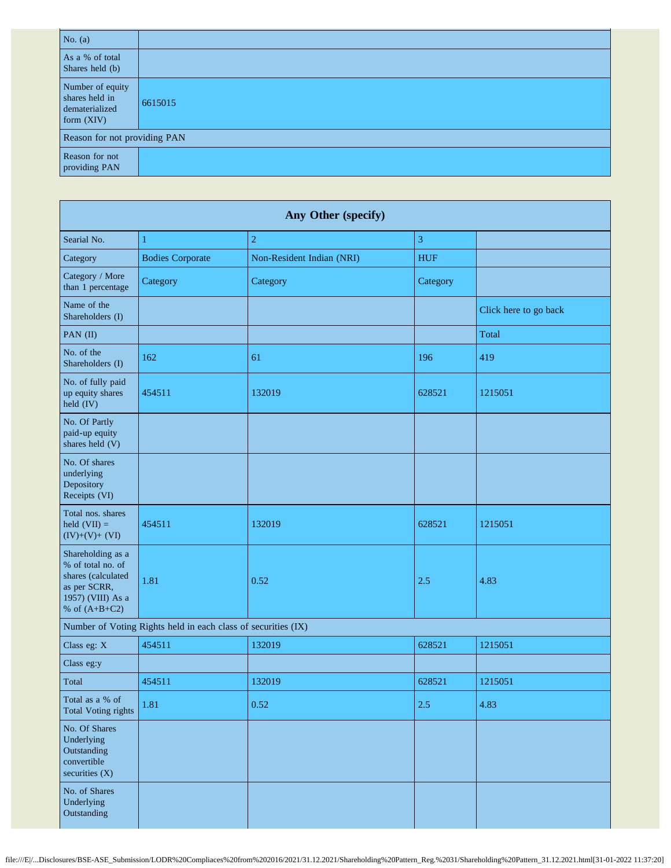| No. $(a)$                                                            |         |  |  |  |
|----------------------------------------------------------------------|---------|--|--|--|
| As a % of total<br>Shares held (b)                                   |         |  |  |  |
| Number of equity<br>shares held in<br>dematerialized<br>form $(XIV)$ | 6615015 |  |  |  |
| Reason for not providing PAN                                         |         |  |  |  |
| Reason for not<br>providing PAN                                      |         |  |  |  |

| Any Other (specify)                                                                                                  |                         |                           |            |                       |  |
|----------------------------------------------------------------------------------------------------------------------|-------------------------|---------------------------|------------|-----------------------|--|
| Searial No.                                                                                                          | 1                       | $\mathbf 2$               | 3          |                       |  |
| Category                                                                                                             | <b>Bodies Corporate</b> | Non-Resident Indian (NRI) | <b>HUF</b> |                       |  |
| Category / More<br>than 1 percentage                                                                                 | Category                | Category                  | Category   |                       |  |
| Name of the<br>Shareholders (I)                                                                                      |                         |                           |            | Click here to go back |  |
| PAN (II)                                                                                                             |                         |                           |            | Total                 |  |
| No. of the<br>Shareholders (I)                                                                                       | 162                     | 61                        | 196        | 419                   |  |
| No. of fully paid<br>up equity shares<br>held (IV)                                                                   | 454511                  | 132019                    | 628521     | 1215051               |  |
| No. Of Partly<br>paid-up equity<br>shares held (V)                                                                   |                         |                           |            |                       |  |
| No. Of shares<br>underlying<br>Depository<br>Receipts (VI)                                                           |                         |                           |            |                       |  |
| Total nos. shares<br>held $(VII) =$<br>$(IV)+(V)+(VI)$                                                               | 454511                  | 132019                    | 628521     | 1215051               |  |
| Shareholding as a<br>% of total no. of<br>shares (calculated<br>as per SCRR,<br>1957) (VIII) As a<br>% of $(A+B+C2)$ | 1.81                    | 0.52                      | 2.5        | 4.83                  |  |
| Number of Voting Rights held in each class of securities (IX)                                                        |                         |                           |            |                       |  |
| Class eg: X                                                                                                          | 454511                  | 132019                    | 628521     | 1215051               |  |
| Class eg:y                                                                                                           |                         |                           |            |                       |  |
| Total                                                                                                                | 454511                  | 132019                    | 628521     | 1215051               |  |
| Total as a % of<br><b>Total Voting rights</b>                                                                        | 1.81                    | 0.52                      | 2.5        | 4.83                  |  |
| No. Of Shares<br>Underlying<br>Outstanding<br>convertible<br>securities $(X)$                                        |                         |                           |            |                       |  |
| No. of Shares<br>Underlying<br>Outstanding                                                                           |                         |                           |            |                       |  |